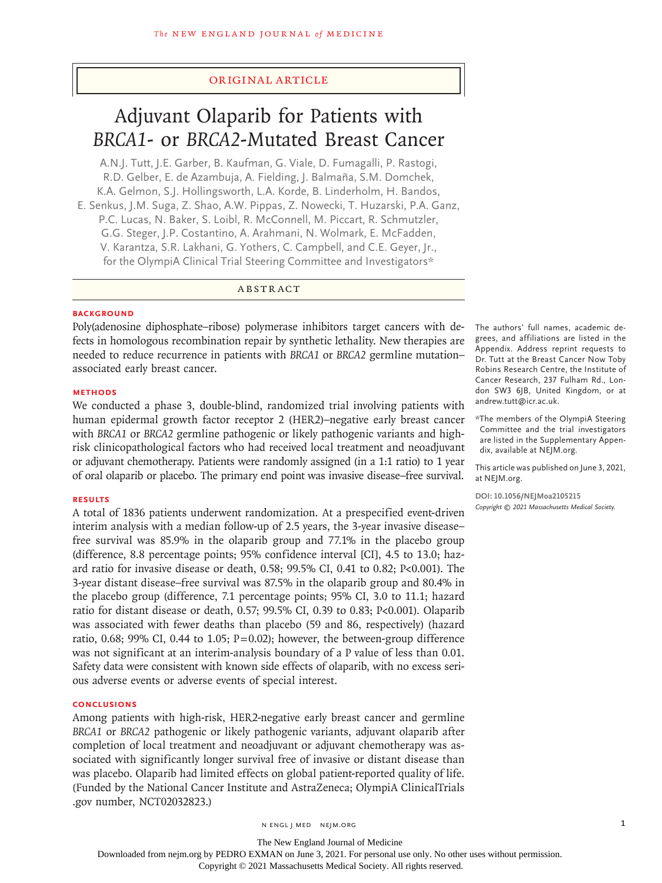# Original Article

# Adjuvant Olaparib for Patients with *BRCA1*- or *BRCA2*-Mutated Breast Cancer

A.N.J. Tutt, J.E. Garber, B. Kaufman, G. Viale, D. Fumagalli, P. Rastogi, R.D. Gelber, E. de Azambuja, A. Fielding, J. Balmaña, S.M. Domchek, K.A. Gelmon, S.J. Hollingsworth, L.A. Korde, B. Linderholm, H. Bandos, E. Senkus, J.M. Suga, Z. Shao, A.W. Pippas, Z. Nowecki, T. Huzarski, P.A. Ganz, P.C. Lucas, N. Baker, S. Loibl, R. McConnell, M. Piccart, R. Schmutzler, G.G. Steger, J.P. Costantino, A. Arahmani, N. Wolmark, E. McFadden, V. Karantza, S.R. Lakhani, G. Yothers, C. Campbell, and C.E. Geyer, Jr., for the OlympiA Clinical Trial Steering Committee and Investigators\*

## ABSTRACT

# **BACKGROUND**

Poly(adenosine diphosphate–ribose) polymerase inhibitors target cancers with defects in homologous recombination repair by synthetic lethality. New therapies are needed to reduce recurrence in patients with *BRCA1* or *BRCA2* germline mutation– associated early breast cancer.

### **METHODS**

We conducted a phase 3, double-blind, randomized trial involving patients with human epidermal growth factor receptor 2 (HER2)–negative early breast cancer with *BRCA1* or *BRCA2* germline pathogenic or likely pathogenic variants and highrisk clinicopathological factors who had received local treatment and neoadjuvant or adjuvant chemotherapy. Patients were randomly assigned (in a 1:1 ratio) to 1 year of oral olaparib or placebo. The primary end point was invasive disease–free survival.

#### **RESULTS**

A total of 1836 patients underwent randomization. At a prespecified event-driven interim analysis with a median follow-up of 2.5 years, the 3-year invasive disease– free survival was 85.9% in the olaparib group and 77.1% in the placebo group (difference, 8.8 percentage points; 95% confidence interval [CI], 4.5 to 13.0; hazard ratio for invasive disease or death, 0.58; 99.5% CI, 0.41 to 0.82; P<0.001). The 3-year distant disease–free survival was 87.5% in the olaparib group and 80.4% in the placebo group (difference, 7.1 percentage points; 95% CI, 3.0 to 11.1; hazard ratio for distant disease or death, 0.57; 99.5% CI, 0.39 to 0.83; P<0.001). Olaparib was associated with fewer deaths than placebo (59 and 86, respectively) (hazard ratio, 0.68; 99% CI, 0.44 to 1.05;  $P=0.02$ ); however, the between-group difference was not significant at an interim-analysis boundary of a P value of less than 0.01. Safety data were consistent with known side effects of olaparib, with no excess serious adverse events or adverse events of special interest.

#### **CONCLUSIONS**

Among patients with high-risk, HER2-negative early breast cancer and germline *BRCA1* or *BRCA2* pathogenic or likely pathogenic variants, adjuvant olaparib after completion of local treatment and neoadjuvant or adjuvant chemotherapy was associated with significantly longer survival free of invasive or distant disease than was placebo. Olaparib had limited effects on global patient-reported quality of life. (Funded by the National Cancer Institute and AstraZeneca; OlympiA ClinicalTrials .gov number, NCT02032823.)

The authors' full names, academic degrees, and affiliations are listed in the Appendix. Address reprint requests to Dr. Tutt at the Breast Cancer Now Toby Robins Research Centre, the Institute of Cancer Research, 237 Fulham Rd., London SW3 6JB, United Kingdom, or at andrew.tutt@icr.ac.uk.

\*The members of the OlympiA Steering Committee and the trial investigators are listed in the Supplementary Appendix, available at NEJM.org.

This article was published on June 3, 2021, at NEJM.org.

**DOI: 10.1056/NEJMoa2105215** *Copyright © 2021 Massachusetts Medical Society.*

The New England Journal of Medicine

Downloaded from nejm.org by PEDRO EXMAN on June 3, 2021. For personal use only. No other uses without permission.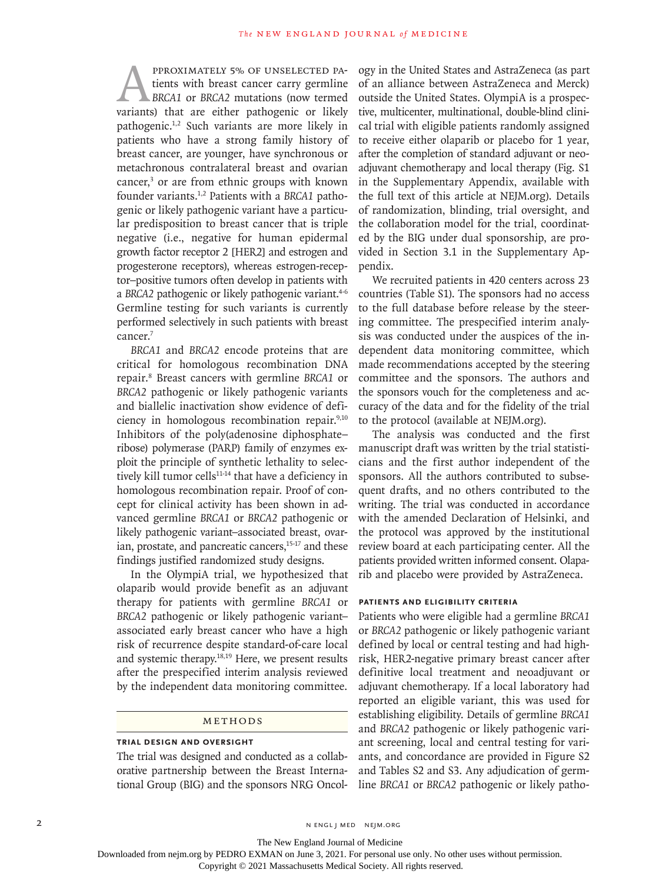PPROXIMATELY 5% OF UNSELECTED PA-<br>tients with breast cancer carry germline<br>BRCA1 or BRCA2 mutations (now termed<br>variants) that are either pathogenic or likely tients with breast cancer carry germline *BRCA1* or *BRCA2* mutations (now termed variants) that are either pathogenic or likely pathogenic.1,2 Such variants are more likely in patients who have a strong family history of breast cancer, are younger, have synchronous or metachronous contralateral breast and ovarian cancer,<sup>3</sup> or are from ethnic groups with known founder variants.1,2 Patients with a *BRCA1* pathogenic or likely pathogenic variant have a particular predisposition to breast cancer that is triple negative (i.e., negative for human epidermal growth factor receptor 2 [HER2] and estrogen and progesterone receptors), whereas estrogen-receptor–positive tumors often develop in patients with a BRCA2 pathogenic or likely pathogenic variant.<sup>4-6</sup> Germline testing for such variants is currently performed selectively in such patients with breast cancer.<sup>7</sup>

*BRCA1* and *BRCA2* encode proteins that are critical for homologous recombination DNA repair.8 Breast cancers with germline *BRCA1* or *BRCA2* pathogenic or likely pathogenic variants and biallelic inactivation show evidence of deficiency in homologous recombination repair.<sup>9,10</sup> Inhibitors of the poly(adenosine diphosphate– ribose) polymerase (PARP) family of enzymes exploit the principle of synthetic lethality to selectively kill tumor cells<sup>11-14</sup> that have a deficiency in homologous recombination repair. Proof of concept for clinical activity has been shown in advanced germline *BRCA1* or *BRCA2* pathogenic or likely pathogenic variant–associated breast, ovarian, prostate, and pancreatic cancers,<sup>15-17</sup> and these findings justified randomized study designs.

In the OlympiA trial, we hypothesized that olaparib would provide benefit as an adjuvant therapy for patients with germline *BRCA1* or *BRCA2* pathogenic or likely pathogenic variant– associated early breast cancer who have a high risk of recurrence despite standard-of-care local and systemic therapy.18,19 Here, we present results after the prespecified interim analysis reviewed by the independent data monitoring committee.

# Methods

#### **Trial Design and Oversight**

The trial was designed and conducted as a collaborative partnership between the Breast International Group (BIG) and the sponsors NRG Oncol-

ogy in the United States and AstraZeneca (as part of an alliance between AstraZeneca and Merck) outside the United States. OlympiA is a prospective, multicenter, multinational, double-blind clinical trial with eligible patients randomly assigned to receive either olaparib or placebo for 1 year, after the completion of standard adjuvant or neoadjuvant chemotherapy and local therapy (Fig. S1 in the Supplementary Appendix, available with the full text of this article at NEJM.org). Details of randomization, blinding, trial oversight, and the collaboration model for the trial, coordinated by the BIG under dual sponsorship, are provided in Section 3.1 in the Supplementary Appendix.

We recruited patients in 420 centers across 23 countries (Table S1). The sponsors had no access to the full database before release by the steering committee. The prespecified interim analysis was conducted under the auspices of the independent data monitoring committee, which made recommendations accepted by the steering committee and the sponsors. The authors and the sponsors vouch for the completeness and accuracy of the data and for the fidelity of the trial to the protocol (available at NEJM.org).

The analysis was conducted and the first manuscript draft was written by the trial statisticians and the first author independent of the sponsors. All the authors contributed to subsequent drafts, and no others contributed to the writing. The trial was conducted in accordance with the amended Declaration of Helsinki, and the protocol was approved by the institutional review board at each participating center. All the patients provided written informed consent. Olaparib and placebo were provided by AstraZeneca.

#### **Patients and Eligibility Criteria**

Patients who were eligible had a germline *BRCA1* or *BRCA2* pathogenic or likely pathogenic variant defined by local or central testing and had highrisk, HER2-negative primary breast cancer after definitive local treatment and neoadjuvant or adjuvant chemotherapy. If a local laboratory had reported an eligible variant, this was used for establishing eligibility. Details of germline *BRCA1* and *BRCA2* pathogenic or likely pathogenic variant screening, local and central testing for variants, and concordance are provided in Figure S2 and Tables S2 and S3. Any adjudication of germline *BRCA1* or *BRCA2* pathogenic or likely patho-

2 N ENGL J MED NEJM.ORG

The New England Journal of Medicine

Downloaded from nejm.org by PEDRO EXMAN on June 3, 2021. For personal use only. No other uses without permission.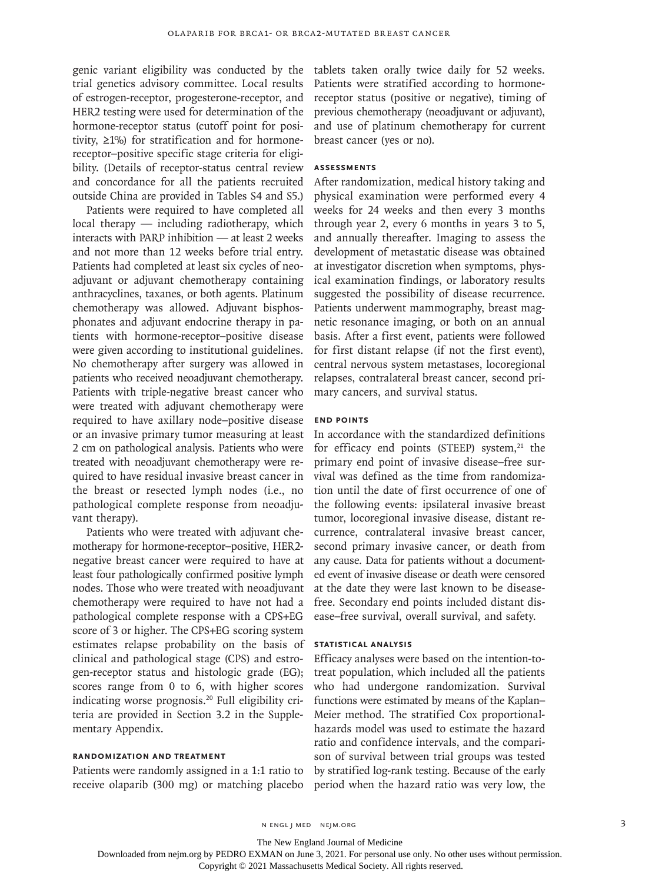genic variant eligibility was conducted by the trial genetics advisory committee. Local results of estrogen-receptor, progesterone-receptor, and HER2 testing were used for determination of the hormone-receptor status (cutoff point for positivity, ≥1%) for stratification and for hormonereceptor–positive specific stage criteria for eligibility. (Details of receptor-status central review and concordance for all the patients recruited outside China are provided in Tables S4 and S5.)

Patients were required to have completed all local therapy — including radiotherapy, which interacts with PARP inhibition — at least 2 weeks and not more than 12 weeks before trial entry. Patients had completed at least six cycles of neoadjuvant or adjuvant chemotherapy containing anthracyclines, taxanes, or both agents. Platinum chemotherapy was allowed. Adjuvant bisphosphonates and adjuvant endocrine therapy in patients with hormone-receptor–positive disease were given according to institutional guidelines. No chemotherapy after surgery was allowed in patients who received neoadjuvant chemotherapy. Patients with triple-negative breast cancer who were treated with adjuvant chemotherapy were required to have axillary node–positive disease or an invasive primary tumor measuring at least 2 cm on pathological analysis. Patients who were treated with neoadjuvant chemotherapy were required to have residual invasive breast cancer in the breast or resected lymph nodes (i.e., no pathological complete response from neoadjuvant therapy).

Patients who were treated with adjuvant chemotherapy for hormone-receptor–positive, HER2 negative breast cancer were required to have at least four pathologically confirmed positive lymph nodes. Those who were treated with neoadjuvant chemotherapy were required to have not had a pathological complete response with a CPS+EG score of 3 or higher. The CPS+EG scoring system estimates relapse probability on the basis of clinical and pathological stage (CPS) and estrogen-receptor status and histologic grade (EG); scores range from 0 to 6, with higher scores indicating worse prognosis.<sup>20</sup> Full eligibility criteria are provided in Section 3.2 in the Supplementary Appendix.

# **Randomization and Treatment**

Patients were randomly assigned in a 1:1 ratio to receive olaparib (300 mg) or matching placebo tablets taken orally twice daily for 52 weeks. Patients were stratified according to hormonereceptor status (positive or negative), timing of previous chemotherapy (neoadjuvant or adjuvant), and use of platinum chemotherapy for current breast cancer (yes or no).

# **Assessments**

After randomization, medical history taking and physical examination were performed every 4 weeks for 24 weeks and then every 3 months through year 2, every 6 months in years 3 to 5, and annually thereafter. Imaging to assess the development of metastatic disease was obtained at investigator discretion when symptoms, physical examination findings, or laboratory results suggested the possibility of disease recurrence. Patients underwent mammography, breast magnetic resonance imaging, or both on an annual basis. After a first event, patients were followed for first distant relapse (if not the first event), central nervous system metastases, locoregional relapses, contralateral breast cancer, second primary cancers, and survival status.

# **End Points**

In accordance with the standardized definitions for efficacy end points (STEEP) system, $21$  the primary end point of invasive disease–free survival was defined as the time from randomization until the date of first occurrence of one of the following events: ipsilateral invasive breast tumor, locoregional invasive disease, distant recurrence, contralateral invasive breast cancer, second primary invasive cancer, or death from any cause. Data for patients without a documented event of invasive disease or death were censored at the date they were last known to be diseasefree. Secondary end points included distant disease–free survival, overall survival, and safety.

#### **Statistical Analysis**

Efficacy analyses were based on the intention-totreat population, which included all the patients who had undergone randomization. Survival functions were estimated by means of the Kaplan– Meier method. The stratified Cox proportionalhazards model was used to estimate the hazard ratio and confidence intervals, and the comparison of survival between trial groups was tested by stratified log-rank testing. Because of the early period when the hazard ratio was very low, the

The New England Journal of Medicine

Downloaded from nejm.org by PEDRO EXMAN on June 3, 2021. For personal use only. No other uses without permission.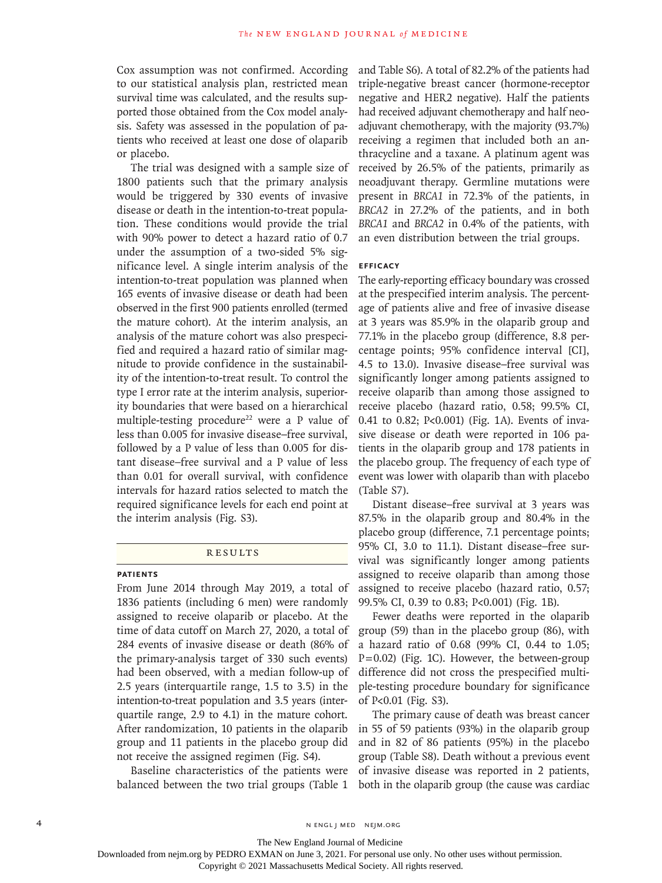Cox assumption was not confirmed. According to our statistical analysis plan, restricted mean survival time was calculated, and the results supported those obtained from the Cox model analysis. Safety was assessed in the population of patients who received at least one dose of olaparib or placebo.

The trial was designed with a sample size of 1800 patients such that the primary analysis would be triggered by 330 events of invasive disease or death in the intention-to-treat population. These conditions would provide the trial with 90% power to detect a hazard ratio of 0.7 under the assumption of a two-sided 5% significance level. A single interim analysis of the intention-to-treat population was planned when 165 events of invasive disease or death had been observed in the first 900 patients enrolled (termed the mature cohort). At the interim analysis, an analysis of the mature cohort was also prespecified and required a hazard ratio of similar magnitude to provide confidence in the sustainability of the intention-to-treat result. To control the type I error rate at the interim analysis, superiority boundaries that were based on a hierarchical multiple-testing procedure<sup>22</sup> were a P value of less than 0.005 for invasive disease–free survival, followed by a P value of less than 0.005 for distant disease–free survival and a P value of less than 0.01 for overall survival, with confidence intervals for hazard ratios selected to match the required significance levels for each end point at the interim analysis (Fig. S3).

## **RESULTS**

#### **Patients**

From June 2014 through May 2019, a total of 1836 patients (including 6 men) were randomly assigned to receive olaparib or placebo. At the time of data cutoff on March 27, 2020, a total of 284 events of invasive disease or death (86% of the primary-analysis target of 330 such events) had been observed, with a median follow-up of 2.5 years (interquartile range, 1.5 to 3.5) in the intention-to-treat population and 3.5 years (interquartile range, 2.9 to 4.1) in the mature cohort. After randomization, 10 patients in the olaparib group and 11 patients in the placebo group did not receive the assigned regimen (Fig. S4).

Baseline characteristics of the patients were balanced between the two trial groups (Table 1 and Table S6). A total of 82.2% of the patients had triple-negative breast cancer (hormone-receptor negative and HER2 negative). Half the patients had received adjuvant chemotherapy and half neoadjuvant chemotherapy, with the majority (93.7%) receiving a regimen that included both an anthracycline and a taxane. A platinum agent was received by 26.5% of the patients, primarily as neoadjuvant therapy. Germline mutations were present in *BRCA1* in 72.3% of the patients, in *BRCA2* in 27.2% of the patients, and in both *BRCA1* and *BRCA2* in 0.4% of the patients, with an even distribution between the trial groups.

#### **Efficacy**

The early-reporting efficacy boundary was crossed at the prespecified interim analysis. The percentage of patients alive and free of invasive disease at 3 years was 85.9% in the olaparib group and 77.1% in the placebo group (difference, 8.8 percentage points; 95% confidence interval [CI], 4.5 to 13.0). Invasive disease–free survival was significantly longer among patients assigned to receive olaparib than among those assigned to receive placebo (hazard ratio, 0.58; 99.5% CI, 0.41 to 0.82; P<0.001) (Fig. 1A). Events of invasive disease or death were reported in 106 patients in the olaparib group and 178 patients in the placebo group. The frequency of each type of event was lower with olaparib than with placebo (Table S7).

Distant disease–free survival at 3 years was 87.5% in the olaparib group and 80.4% in the placebo group (difference, 7.1 percentage points; 95% CI, 3.0 to 11.1). Distant disease–free survival was significantly longer among patients assigned to receive olaparib than among those assigned to receive placebo (hazard ratio, 0.57; 99.5% CI, 0.39 to 0.83; P<0.001) (Fig. 1B).

Fewer deaths were reported in the olaparib group (59) than in the placebo group (86), with a hazard ratio of 0.68 (99% CI, 0.44 to 1.05;  $P=0.02$ ) (Fig. 1C). However, the between-group difference did not cross the prespecified multiple-testing procedure boundary for significance of P<0.01 (Fig. S3).

The primary cause of death was breast cancer in 55 of 59 patients (93%) in the olaparib group and in 82 of 86 patients (95%) in the placebo group (Table S8). Death without a previous event of invasive disease was reported in 2 patients, both in the olaparib group (the cause was cardiac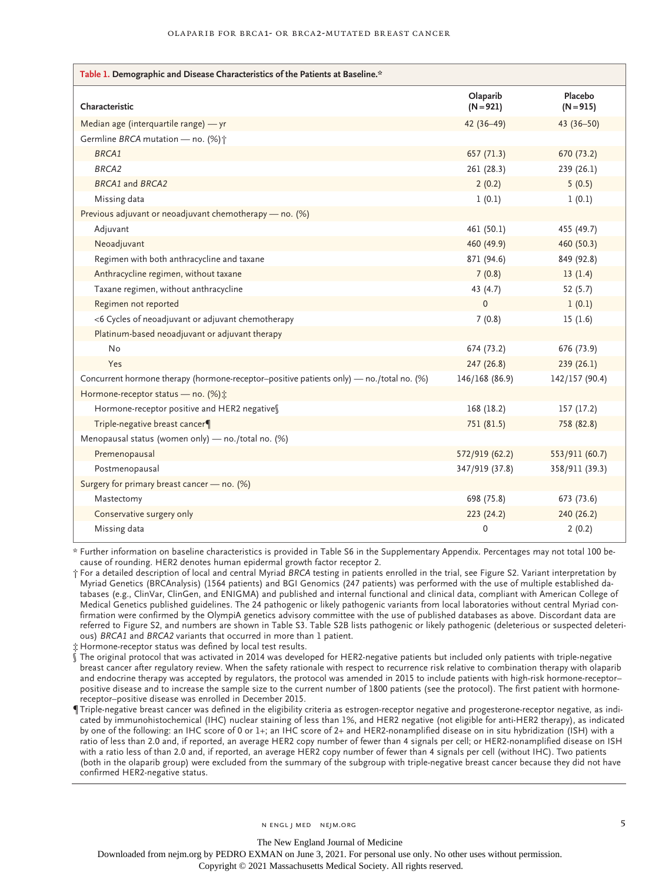#### Olaparib for BRCA1- or BRCA2-Mutated Breast Cancer

| Table 1. Demographic and Disease Characteristics of the Patients at Baseline.*           |                         |                        |  |  |  |  |
|------------------------------------------------------------------------------------------|-------------------------|------------------------|--|--|--|--|
| Characteristic                                                                           | Olaparib<br>$(N = 921)$ | Placebo<br>$(N = 915)$ |  |  |  |  |
| Median age (interquartile range) - yr                                                    | 42 (36-49)              | 43 $(36 - 50)$         |  |  |  |  |
| Germline BRCA mutation - no. (%) +                                                       |                         |                        |  |  |  |  |
| BRCA1                                                                                    | 657 (71.3)              | 670 (73.2)             |  |  |  |  |
| BRCA <sub>2</sub>                                                                        | 261 (28.3)              | 239 (26.1)             |  |  |  |  |
| BRCA1 and BRCA2                                                                          | 2(0.2)                  | 5(0.5)                 |  |  |  |  |
| Missing data                                                                             | 1(0.1)                  | 1(0.1)                 |  |  |  |  |
| Previous adjuvant or neoadjuvant chemotherapy — no. (%)                                  |                         |                        |  |  |  |  |
| Adjuvant                                                                                 | 461 (50.1)              | 455 (49.7)             |  |  |  |  |
| Neoadjuvant                                                                              | 460 (49.9)              | 460 (50.3)             |  |  |  |  |
| Regimen with both anthracycline and taxane                                               | 871 (94.6)              | 849 (92.8)             |  |  |  |  |
| Anthracycline regimen, without taxane                                                    | 7(0.8)                  | 13(1.4)                |  |  |  |  |
| Taxane regimen, without anthracycline                                                    | 43 (4.7)                | 52(5.7)                |  |  |  |  |
| Regimen not reported                                                                     | $\Omega$                | 1(0.1)                 |  |  |  |  |
| <6 Cycles of neoadjuvant or adjuvant chemotherapy                                        | 7(0.8)                  | 15(1.6)                |  |  |  |  |
| Platinum-based neoadjuvant or adjuvant therapy                                           |                         |                        |  |  |  |  |
| <b>No</b>                                                                                | 674 (73.2)              | 676 (73.9)             |  |  |  |  |
| Yes                                                                                      | 247 (26.8)              | 239(26.1)              |  |  |  |  |
| Concurrent hormone therapy (hormone-receptor-positive patients only) - no./total no. (%) | 146/168 (86.9)          | 142/157 (90.4)         |  |  |  |  |
| Hormone-receptor status - no. (%) :                                                      |                         |                        |  |  |  |  |
| Hormone-receptor positive and HER2 negativess                                            | 168 (18.2)              | 157(17.2)              |  |  |  |  |
| Triple-negative breast cancer¶                                                           | 751 (81.5)              | 758 (82.8)             |  |  |  |  |
| Menopausal status (women only) - no./total no. (%)                                       |                         |                        |  |  |  |  |
| Premenopausal                                                                            | 572/919 (62.2)          | 553/911 (60.7)         |  |  |  |  |
| Postmenopausal                                                                           | 347/919 (37.8)          | 358/911 (39.3)         |  |  |  |  |
| Surgery for primary breast cancer - no. (%)                                              |                         |                        |  |  |  |  |
| Mastectomy                                                                               | 698 (75.8)              | 673 (73.6)             |  |  |  |  |
| Conservative surgery only                                                                | 223(24.2)               | 240 (26.2)             |  |  |  |  |
| Missing data                                                                             | 0                       | 2(0.2)                 |  |  |  |  |

\* Further information on baseline characteristics is provided in Table S6 in the Supplementary Appendix. Percentages may not total 100 because of rounding. HER2 denotes human epidermal growth factor receptor 2.

† For a detailed description of local and central Myriad *BRCA* testing in patients enrolled in the trial, see Figure S2. Variant interpretation by Myriad Genetics (BRCAnalysis) (1564 patients) and BGI Genomics (247 patients) was performed with the use of multiple established databases (e.g., ClinVar, ClinGen, and ENIGMA) and published and internal functional and clinical data, compliant with American College of Medical Genetics published guidelines. The 24 pathogenic or likely pathogenic variants from local laboratories without central Myriad confirmation were confirmed by the OlympiA genetics advisory committee with the use of published databases as above. Discordant data are referred to Figure S2, and numbers are shown in Table S3. Table S2B lists pathogenic or likely pathogenic (deleterious or suspected deleterious) *BRCA1* and *BRCA2* variants that occurred in more than 1 patient.

‡ Hormone-receptor status was defined by local test results.

The original protocol that was activated in 2014 was developed for HER2-negative patients but included only patients with triple-negative breast cancer after regulatory review. When the safety rationale with respect to recurrence risk relative to combination therapy with olaparib and endocrine therapy was accepted by regulators, the protocol was amended in 2015 to include patients with high-risk hormone-receptor– positive disease and to increase the sample size to the current number of 1800 patients (see the protocol). The first patient with hormonereceptor–positive disease was enrolled in December 2015.

¶ Triple-negative breast cancer was defined in the eligibility criteria as estrogen-receptor negative and progesterone-receptor negative, as indicated by immunohistochemical (IHC) nuclear staining of less than 1%, and HER2 negative (not eligible for anti-HER2 therapy), as indicated by one of the following: an IHC score of 0 or 1+; an IHC score of 2+ and HER2-nonamplified disease on in situ hybridization (ISH) with a ratio of less than 2.0 and, if reported, an average HER2 copy number of fewer than 4 signals per cell; or HER2-nonamplified disease on ISH with a ratio less of than 2.0 and, if reported, an average HER2 copy number of fewer than 4 signals per cell (without IHC). Two patients (both in the olaparib group) were excluded from the summary of the subgroup with triple-negative breast cancer because they did not have confirmed HER2-negative status.

The New England Journal of Medicine

Downloaded from nejm.org by PEDRO EXMAN on June 3, 2021. For personal use only. No other uses without permission.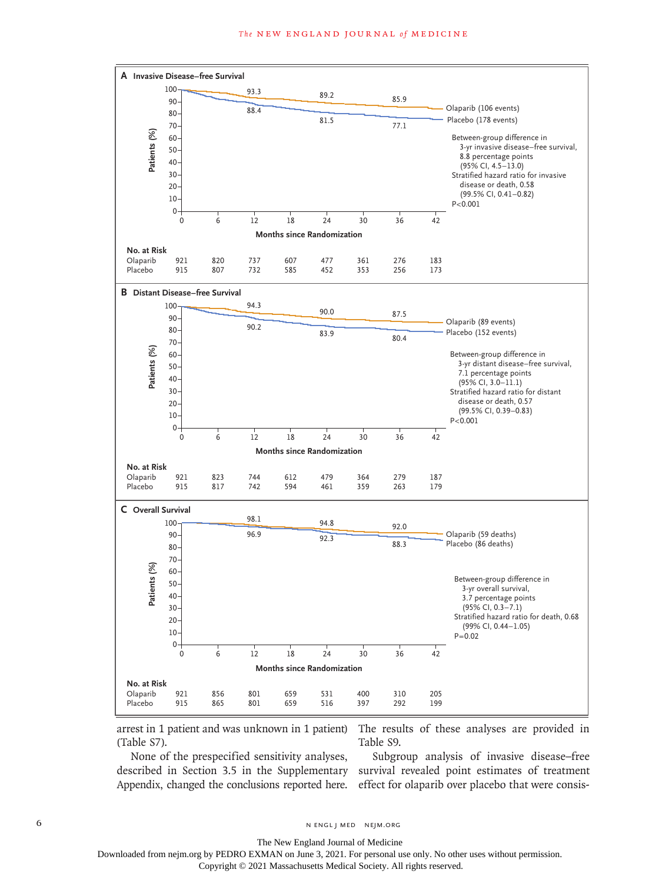

arrest in 1 patient and was unknown in 1 patient) (Table S7).

The results of these analyses are provided in Table S9.

None of the prespecified sensitivity analyses, described in Section 3.5 in the Supplementary Appendix, changed the conclusions reported here.

Subgroup analysis of invasive disease–free survival revealed point estimates of treatment effect for olaparib over placebo that were consis-

6 **n** engl j med nejm.org neighbors in the neutral media  $\frac{1}{2}$  media  $\frac{1}{2}$  media  $\frac{1}{2}$  media  $\frac{1}{2}$  media  $\frac{1}{2}$  media  $\frac{1}{2}$  media  $\frac{1}{2}$  media  $\frac{1}{2}$  media  $\frac{1}{2}$  media  $\frac{1}{2}$  media  $\frac{1$ 

The New England Journal of Medicine

Downloaded from nejm.org by PEDRO EXMAN on June 3, 2021. For personal use only. No other uses without permission.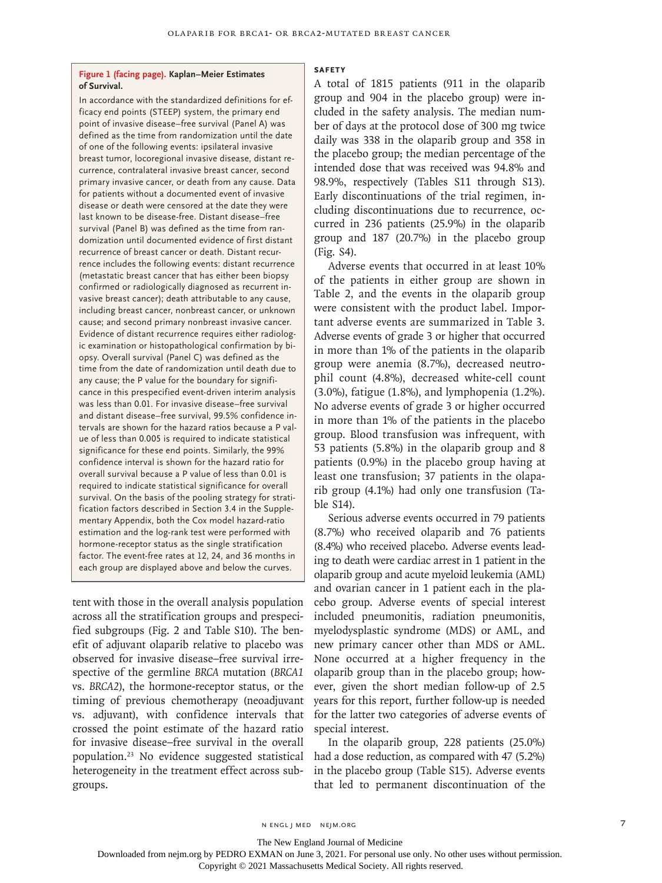#### **Figure 1 (facing page). Kaplan–Meier Estimates of Survival.**

In accordance with the standardized definitions for efficacy end points (STEEP) system, the primary end point of invasive disease–free survival (Panel A) was defined as the time from randomization until the date of one of the following events: ipsilateral invasive breast tumor, locoregional invasive disease, distant recurrence, contralateral invasive breast cancer, second primary invasive cancer, or death from any cause. Data for patients without a documented event of invasive disease or death were censored at the date they were last known to be disease-free. Distant disease–free survival (Panel B) was defined as the time from randomization until documented evidence of first distant recurrence of breast cancer or death. Distant recurrence includes the following events: distant recurrence (metastatic breast cancer that has either been biopsy confirmed or radiologically diagnosed as recurrent invasive breast cancer); death attributable to any cause, including breast cancer, nonbreast cancer, or unknown cause; and second primary nonbreast invasive cancer. Evidence of distant recurrence requires either radiologic examination or histopathological confirmation by biopsy. Overall survival (Panel C) was defined as the time from the date of randomization until death due to any cause; the P value for the boundary for significance in this prespecified event-driven interim analysis was less than 0.01. For invasive disease–free survival and distant disease–free survival, 99.5% confidence intervals are shown for the hazard ratios because a P value of less than 0.005 is required to indicate statistical significance for these end points. Similarly, the 99% confidence interval is shown for the hazard ratio for overall survival because a P value of less than 0.01 is required to indicate statistical significance for overall survival. On the basis of the pooling strategy for stratification factors described in Section 3.4 in the Supplementary Appendix, both the Cox model hazard-ratio estimation and the log-rank test were performed with hormone-receptor status as the single stratification factor. The event-free rates at 12, 24, and 36 months in each group are displayed above and below the curves.

tent with those in the overall analysis population across all the stratification groups and prespecified subgroups (Fig. 2 and Table S10). The benefit of adjuvant olaparib relative to placebo was observed for invasive disease–free survival irrespective of the germline *BRCA* mutation (*BRCA1* vs. *BRCA2*), the hormone-receptor status, or the timing of previous chemotherapy (neoadjuvant vs. adjuvant), with confidence intervals that crossed the point estimate of the hazard ratio for invasive disease–free survival in the overall population.23 No evidence suggested statistical heterogeneity in the treatment effect across subgroups.

#### **Safety**

A total of 1815 patients (911 in the olaparib group and 904 in the placebo group) were included in the safety analysis. The median number of days at the protocol dose of 300 mg twice daily was 338 in the olaparib group and 358 in the placebo group; the median percentage of the intended dose that was received was 94.8% and 98.9%, respectively (Tables S11 through S13). Early discontinuations of the trial regimen, including discontinuations due to recurrence, occurred in 236 patients (25.9%) in the olaparib group and 187 (20.7%) in the placebo group (Fig. S4).

Adverse events that occurred in at least 10% of the patients in either group are shown in Table 2, and the events in the olaparib group were consistent with the product label. Important adverse events are summarized in Table 3. Adverse events of grade 3 or higher that occurred in more than 1% of the patients in the olaparib group were anemia (8.7%), decreased neutrophil count (4.8%), decreased white-cell count (3.0%), fatigue (1.8%), and lymphopenia (1.2%). No adverse events of grade 3 or higher occurred in more than 1% of the patients in the placebo group. Blood transfusion was infrequent, with 53 patients (5.8%) in the olaparib group and 8 patients (0.9%) in the placebo group having at least one transfusion; 37 patients in the olaparib group (4.1%) had only one transfusion (Table S14).

Serious adverse events occurred in 79 patients (8.7%) who received olaparib and 76 patients (8.4%) who received placebo. Adverse events leading to death were cardiac arrest in 1 patient in the olaparib group and acute myeloid leukemia (AML) and ovarian cancer in 1 patient each in the placebo group. Adverse events of special interest included pneumonitis, radiation pneumonitis, myelodysplastic syndrome (MDS) or AML, and new primary cancer other than MDS or AML. None occurred at a higher frequency in the olaparib group than in the placebo group; however, given the short median follow-up of 2.5 years for this report, further follow-up is needed for the latter two categories of adverse events of special interest.

In the olaparib group, 228 patients (25.0%) had a dose reduction, as compared with 47 (5.2%) in the placebo group (Table S15). Adverse events that led to permanent discontinuation of the

n engl j med nejm.org 7

The New England Journal of Medicine

Downloaded from nejm.org by PEDRO EXMAN on June 3, 2021. For personal use only. No other uses without permission.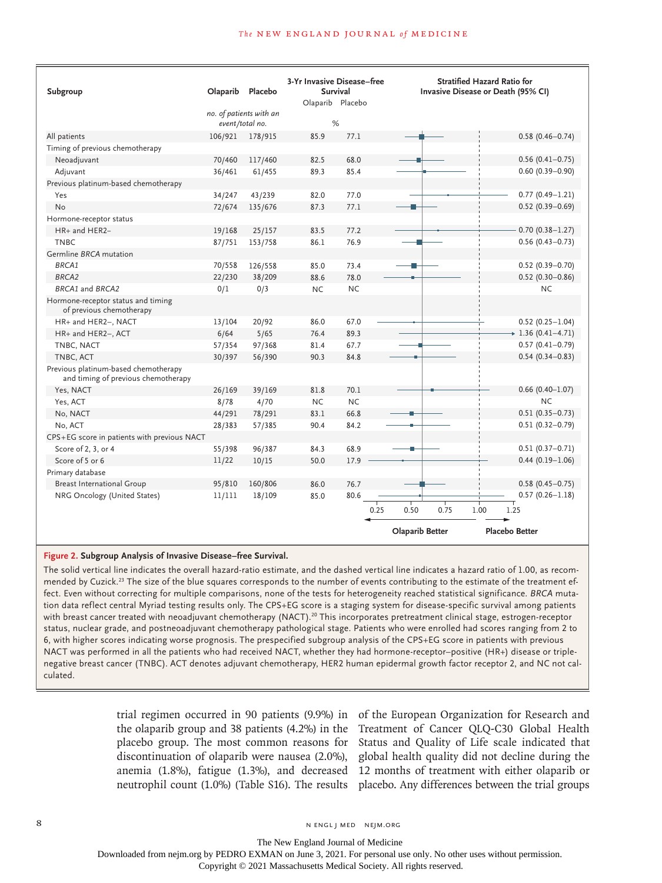| Subgroup                                                                    | Olaparib | Placebo                                    | 3-Yr Invasive Disease-free<br>Survival |           | <b>Stratified Hazard Ratio for</b><br>Invasive Disease or Death (95% CI) |                         |  |  |
|-----------------------------------------------------------------------------|----------|--------------------------------------------|----------------------------------------|-----------|--------------------------------------------------------------------------|-------------------------|--|--|
|                                                                             |          |                                            | Olaparib Placebo                       |           |                                                                          |                         |  |  |
|                                                                             |          | no. of patients with an<br>event/total no. | %                                      |           |                                                                          |                         |  |  |
| All patients                                                                | 106/921  | 178/915                                    | 85.9                                   | 77.1      |                                                                          | $0.58(0.46 - 0.74)$     |  |  |
| Timing of previous chemotherapy                                             |          |                                            |                                        |           |                                                                          |                         |  |  |
| Neoadjuvant                                                                 | 70/460   | 117/460                                    | 82.5                                   | 68.0      |                                                                          | $0.56(0.41 - 0.75)$     |  |  |
| Adjuvant                                                                    | 36/461   | 61/455                                     | 89.3                                   | 85.4      |                                                                          | $0.60(0.39 - 0.90)$     |  |  |
| Previous platinum-based chemotherapy                                        |          |                                            |                                        |           |                                                                          |                         |  |  |
| Yes                                                                         | 34/247   | 43/239                                     | 82.0                                   | 77.0      |                                                                          | $0.77(0.49 - 1.21)$     |  |  |
| No                                                                          | 72/674   | 135/676                                    | 87.3                                   | 77.1      |                                                                          | $0.52(0.39 - 0.69)$     |  |  |
| Hormone-receptor status                                                     |          |                                            |                                        |           |                                                                          |                         |  |  |
| HR+ and HER2-                                                               | 19/168   | 25/157                                     | 83.5                                   | 77.2      |                                                                          | $0.70(0.38 - 1.27)$     |  |  |
| <b>TNBC</b>                                                                 | 87/751   | 153/758                                    | 86.1                                   | 76.9      |                                                                          | $0.56(0.43 - 0.73)$     |  |  |
| Germline BRCA mutation                                                      |          |                                            |                                        |           |                                                                          |                         |  |  |
| <b>BRCA1</b>                                                                | 70/558   | 126/558                                    | 85.0                                   | 73.4      |                                                                          | $0.52(0.39 - 0.70)$     |  |  |
| BRCA <sub>2</sub>                                                           | 22/230   | 38/209                                     | 88.6                                   | 78.0      |                                                                          | $0.52(0.30 - 0.86)$     |  |  |
| BRCA1 and BRCA2                                                             | 0/1      | 0/3                                        | <b>NC</b>                              | NC.       |                                                                          | <b>NC</b>               |  |  |
| Hormone-receptor status and timing<br>of previous chemotherapy              |          |                                            |                                        |           |                                                                          |                         |  |  |
| HR+ and HER2-, NACT                                                         | 13/104   | 20/92                                      | 86.0                                   | 67.0      |                                                                          | $0.52(0.25 - 1.04)$     |  |  |
| HR+ and HER2-, ACT                                                          | 6/64     | 5/65                                       | 76.4                                   | 89.3      |                                                                          | $\div$ 1.36 (0.41-4.71) |  |  |
| TNBC, NACT                                                                  | 57/354   | 97/368                                     | 81.4                                   | 67.7      |                                                                          | $0.57(0.41 - 0.79)$     |  |  |
| TNBC, ACT                                                                   | 30/397   | 56/390                                     | 90.3                                   | 84.8      |                                                                          | $0.54(0.34 - 0.83)$     |  |  |
| Previous platinum-based chemotherapy<br>and timing of previous chemotherapy |          |                                            |                                        |           |                                                                          |                         |  |  |
| Yes, NACT                                                                   | 26/169   | 39/169                                     | 81.8                                   | 70.1      |                                                                          | $0.66$ (0.40-1.07)      |  |  |
| Yes, ACT                                                                    | 8/78     | 4/70                                       | <b>NC</b>                              | <b>NC</b> |                                                                          | <b>NC</b>               |  |  |
| No, NACT                                                                    | 44/291   | 78/291                                     | 83.1                                   | 66.8      |                                                                          | $0.51(0.35 - 0.73)$     |  |  |
| No, ACT                                                                     | 28/383   | 57/385                                     | 90.4                                   | 84.2      |                                                                          | $0.51(0.32 - 0.79)$     |  |  |
| CPS+EG score in patients with previous NACT                                 |          |                                            |                                        |           |                                                                          |                         |  |  |
| Score of 2, 3, or 4                                                         | 55/398   | 96/387                                     | 84.3                                   | 68.9      | п                                                                        | $0.51(0.37 - 0.71)$     |  |  |
| Score of 5 or 6                                                             | 11/22    | 10/15                                      | 50.0                                   | 17.9      |                                                                          | $0.44(0.19-1.06)$       |  |  |
| Primary database                                                            |          |                                            |                                        |           |                                                                          |                         |  |  |
| <b>Breast International Group</b>                                           | 95/810   | 160/806                                    | 86.0                                   | 76.7      |                                                                          | $0.58(0.45 - 0.75)$     |  |  |
| NRG Oncology (United States)                                                | 11/111   | 18/109                                     | 85.0                                   | 80.6      |                                                                          | $0.57(0.26 - 1.18)$     |  |  |
|                                                                             |          |                                            |                                        | 0.25      | 0.50<br>0.75<br>1.00                                                     | 1.25                    |  |  |
|                                                                             |          |                                            |                                        |           | <b>Olaparib Better</b>                                                   | <b>Placebo Better</b>   |  |  |

#### **Figure 2. Subgroup Analysis of Invasive Disease–free Survival.**

The solid vertical line indicates the overall hazard-ratio estimate, and the dashed vertical line indicates a hazard ratio of 1.00, as recommended by Cuzick.<sup>23</sup> The size of the blue squares corresponds to the number of events contributing to the estimate of the treatment effect. Even without correcting for multiple comparisons, none of the tests for heterogeneity reached statistical significance. *BRCA* mutation data reflect central Myriad testing results only. The CPS+EG score is a staging system for disease-specific survival among patients with breast cancer treated with neoadjuvant chemotherapy (NACT).<sup>20</sup> This incorporates pretreatment clinical stage, estrogen-receptor status, nuclear grade, and postneoadjuvant chemotherapy pathological stage. Patients who were enrolled had scores ranging from 2 to 6, with higher scores indicating worse prognosis. The prespecified subgroup analysis of the CPS+EG score in patients with previous NACT was performed in all the patients who had received NACT, whether they had hormone-receptor–positive (HR+) disease or triplenegative breast cancer (TNBC). ACT denotes adjuvant chemotherapy, HER2 human epidermal growth factor receptor 2, and NC not calculated.

neutrophil count (1.0%) (Table S16). The results placebo. Any differences between the trial groups

trial regimen occurred in 90 patients (9.9%) in of the European Organization for Research and the olaparib group and 38 patients (4.2%) in the Treatment of Cancer QLQ-C30 Global Health placebo group. The most common reasons for Status and Quality of Life scale indicated that discontinuation of olaparib were nausea (2.0%), global health quality did not decline during the anemia (1.8%), fatigue (1.3%), and decreased 12 months of treatment with either olaparib or

The New England Journal of Medicine

Downloaded from nejm.org by PEDRO EXMAN on June 3, 2021. For personal use only. No other uses without permission.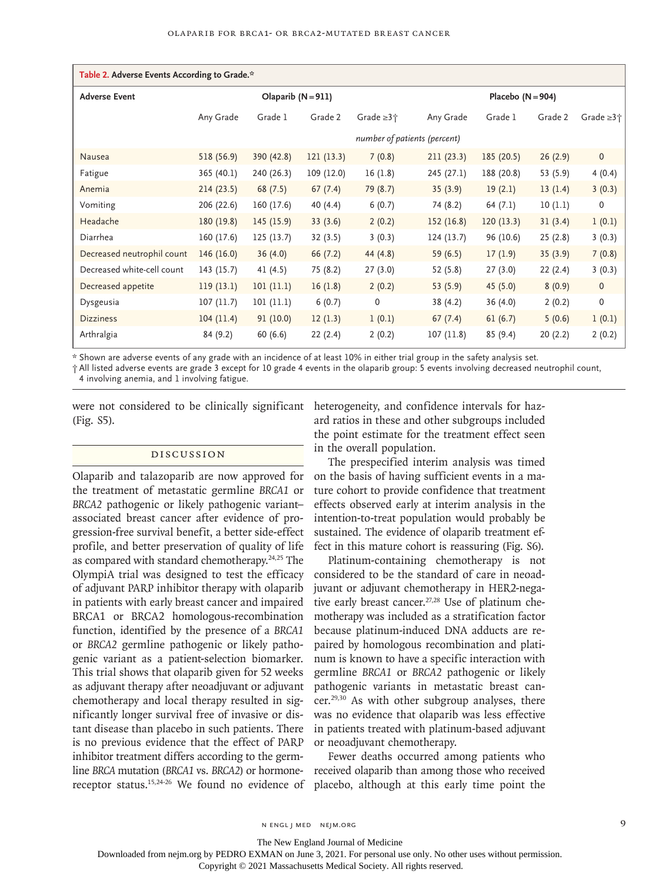| Table 2. Adverse Events According to Grade.* |                              |            |            |                  |            |                     |          |                    |  |
|----------------------------------------------|------------------------------|------------|------------|------------------|------------|---------------------|----------|--------------------|--|
| <b>Adverse Event</b>                         | Olaparib $(N = 911)$         |            |            |                  |            | Placebo $(N = 904)$ |          |                    |  |
|                                              | Any Grade                    | Grade 1    | Grade 2    | Grade $\geq 3 +$ | Any Grade  | Grade 1             | Grade 2  | Grade $\geq 3 + 1$ |  |
|                                              | number of patients (percent) |            |            |                  |            |                     |          |                    |  |
| Nausea                                       | 518 (56.9)                   | 390 (42.8) | 121(13.3)  | 7(0.8)           | 211(23.3)  | 185(20.5)           | 26(2.9)  | $\mathbf 0$        |  |
| Fatigue                                      | 365 (40.1)                   | 240 (26.3) | 109 (12.0) | 16(1.8)          | 245 (27.1) | 188 (20.8)          | 53 (5.9) | 4(0.4)             |  |
| Anemia                                       | 214(23.5)                    | 68(7.5)    | 67(7.4)    | 79 (8.7)         | 35(3.9)    | 19(2.1)             | 13(1.4)  | 3(0.3)             |  |
| Vomiting                                     | 206 (22.6)                   | 160 (17.6) | 40 (4.4)   | 6(0.7)           | 74 (8.2)   | 64 (7.1)            | 10(1.1)  | 0                  |  |
| Headache                                     | 180 (19.8)                   | 145(15.9)  | 33(3.6)    | 2(0.2)           | 152(16.8)  | 120(13.3)           | 31(3.4)  | 1(0.1)             |  |
| Diarrhea                                     | 160 (17.6)                   | 125(13.7)  | 32(3.5)    | 3(0.3)           | 124(13.7)  | 96 (10.6)           | 25(2.8)  | 3(0.3)             |  |
| Decreased neutrophil count                   | 146(16.0)                    | 36(4.0)    | 66(7.2)    | 44 (4.8)         | 59 (6.5)   | 17(1.9)             | 35(3.9)  | 7(0.8)             |  |
| Decreased white-cell count                   | 143 (15.7)                   | 41(4.5)    | 75 (8.2)   | 27(3.0)          | 52 (5.8)   | 27(3.0)             | 22 (2.4) | 3(0.3)             |  |
| Decreased appetite                           | 119(13.1)                    | 101(11.1)  | 16(1.8)    | 2(0.2)           | 53 (5.9)   | 45 (5.0)            | 8(0.9)   | $\mathbf 0$        |  |
| Dysgeusia                                    | 107(11.7)                    | 101(11.1)  | 6(0.7)     | 0                | 38 (4.2)   | 36(4.0)             | 2(0.2)   | $\mathbf 0$        |  |
| <b>Dizziness</b>                             | 104(11.4)                    | 91(10.0)   | 12(1.3)    | 1(0.1)           | 67(7.4)    | 61(6.7)             | 5(0.6)   | 1(0.1)             |  |
| Arthralgia                                   | 84 (9.2)                     | 60(6.6)    | 22(2.4)    | 2(0.2)           | 107(11.8)  | 85 (9.4)            | 20(2.2)  | 2(0.2)             |  |

\* Shown are adverse events of any grade with an incidence of at least 10% in either trial group in the safety analysis set.

† All listed adverse events are grade 3 except for 10 grade 4 events in the olaparib group: 5 events involving decreased neutrophil count, 4 involving anemia, and 1 involving fatigue.

(Fig. S5).

## Discussion

Olaparib and talazoparib are now approved for the treatment of metastatic germline *BRCA1* or *BRCA2* pathogenic or likely pathogenic variant– associated breast cancer after evidence of progression-free survival benefit, a better side-effect profile, and better preservation of quality of life as compared with standard chemotherapy.<sup>24,25</sup> The OlympiA trial was designed to test the efficacy of adjuvant PARP inhibitor therapy with olaparib in patients with early breast cancer and impaired BRCA1 or BRCA2 homologous-recombination function, identified by the presence of a *BRCA1* or *BRCA2* germline pathogenic or likely pathogenic variant as a patient-selection biomarker. This trial shows that olaparib given for 52 weeks as adjuvant therapy after neoadjuvant or adjuvant chemotherapy and local therapy resulted in significantly longer survival free of invasive or distant disease than placebo in such patients. There is no previous evidence that the effect of PARP inhibitor treatment differs according to the germline *BRCA* mutation (*BRCA1* vs. *BRCA2*) or hormone-

were not considered to be clinically significant heterogeneity, and confidence intervals for hazard ratios in these and other subgroups included the point estimate for the treatment effect seen in the overall population.

> The prespecified interim analysis was timed on the basis of having sufficient events in a mature cohort to provide confidence that treatment effects observed early at interim analysis in the intention-to-treat population would probably be sustained. The evidence of olaparib treatment effect in this mature cohort is reassuring (Fig. S6).

> Platinum-containing chemotherapy is not considered to be the standard of care in neoadjuvant or adjuvant chemotherapy in HER2-negative early breast cancer.<sup>27,28</sup> Use of platinum chemotherapy was included as a stratification factor because platinum-induced DNA adducts are repaired by homologous recombination and platinum is known to have a specific interaction with germline *BRCA1* or *BRCA2* pathogenic or likely pathogenic variants in metastatic breast cancer.29,30 As with other subgroup analyses, there was no evidence that olaparib was less effective in patients treated with platinum-based adjuvant or neoadjuvant chemotherapy.

receptor status.15,24-26 We found no evidence of placebo, although at this early time point the Fewer deaths occurred among patients who received olaparib than among those who received

The New England Journal of Medicine

Downloaded from nejm.org by PEDRO EXMAN on June 3, 2021. For personal use only. No other uses without permission.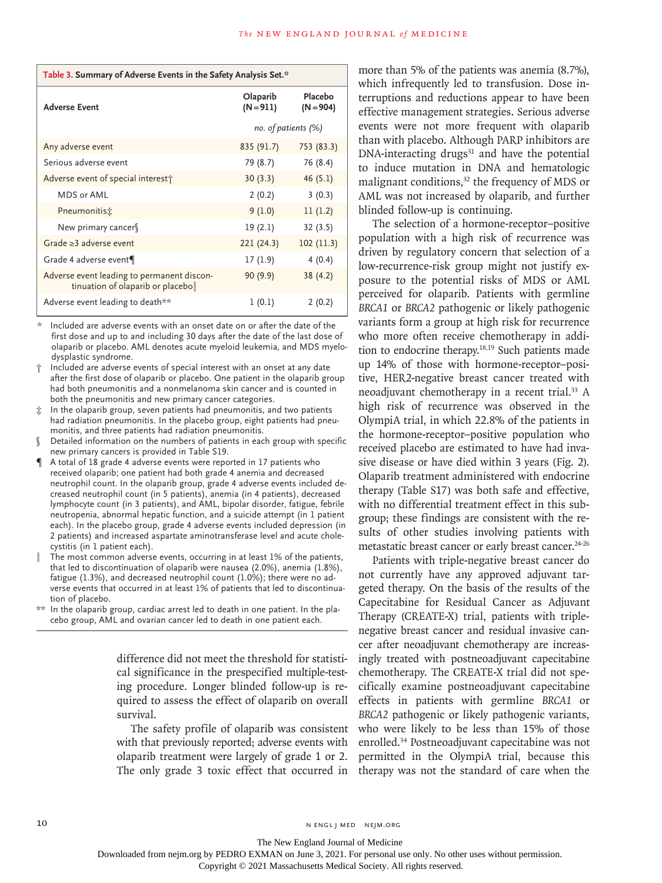| Table 3. Summary of Adverse Events in the Safety Analysis Set.*                  |                         |                        |  |  |  |  |
|----------------------------------------------------------------------------------|-------------------------|------------------------|--|--|--|--|
| <b>Adverse Event</b>                                                             | Olaparib<br>$(N = 911)$ | Placebo<br>$(N = 904)$ |  |  |  |  |
|                                                                                  | no. of patients $(\%)$  |                        |  |  |  |  |
| Any adverse event                                                                | 835 (91.7)              | 753 (83.3)             |  |  |  |  |
| Serious adverse event                                                            | 79 (8.7)                | 76 (8.4)               |  |  |  |  |
| Adverse event of special interest                                                | 30(3.3)                 | 46(5.1)                |  |  |  |  |
| MDS or AML                                                                       | 2(0.2)                  | 3(0.3)                 |  |  |  |  |
| Pneumonitis:                                                                     | 9(1.0)                  | 11(1.2)                |  |  |  |  |
| New primary cancer                                                               | 19(2.1)                 | 32(3.5)                |  |  |  |  |
| Grade $\geq$ 3 adverse event                                                     | 221 (24.3)              | 102(11.3)              |  |  |  |  |
| Grade 4 adverse event¶                                                           | 17(1.9)                 | 4(0.4)                 |  |  |  |  |
| Adverse event leading to permanent discon-<br>tinuation of olaparib or placeboll | 90(9.9)                 | 38 (4.2)               |  |  |  |  |
| Adverse event leading to death**                                                 | 1(0.1)                  | 2(0.2)                 |  |  |  |  |

\* Included are adverse events with an onset date on or after the date of the first dose and up to and including 30 days after the date of the last dose of olaparib or placebo. AML denotes acute myeloid leukemia, and MDS myelodysplastic syndrome.

- † Included are adverse events of special interest with an onset at any date after the first dose of olaparib or placebo. One patient in the olaparib group had both pneumonitis and a nonmelanoma skin cancer and is counted in both the pneumonitis and new primary cancer categories.
- ‡ In the olaparib group, seven patients had pneumonitis, and two patients had radiation pneumonitis. In the placebo group, eight patients had pneumonitis, and three patients had radiation pneumonitis.
- Detailed information on the numbers of patients in each group with specific new primary cancers is provided in Table S19.
- ¶ A total of 18 grade 4 adverse events were reported in 17 patients who received olaparib; one patient had both grade 4 anemia and decreased neutrophil count. In the olaparib group, grade 4 adverse events included decreased neutrophil count (in 5 patients), anemia (in 4 patients), decreased lymphocyte count (in 3 patients), and AML, bipolar disorder, fatigue, febrile neutropenia, abnormal hepatic function, and a suicide attempt (in 1 patient each). In the placebo group, grade 4 adverse events included depression (in 2 patients) and increased aspartate aminotransferase level and acute cholecystitis (in 1 patient each).
- The most common adverse events, occurring in at least 1% of the patients, that led to discontinuation of olaparib were nausea (2.0%), anemia (1.8%), fatigue (1.3%), and decreased neutrophil count (1.0%); there were no adverse events that occurred in at least 1% of patients that led to discontinuation of placebo.
- \*\* In the olaparib group, cardiac arrest led to death in one patient. In the placebo group, AML and ovarian cancer led to death in one patient each.

difference did not meet the threshold for statistical significance in the prespecified multiple-testing procedure. Longer blinded follow-up is required to assess the effect of olaparib on overall survival.

The safety profile of olaparib was consistent with that previously reported; adverse events with olaparib treatment were largely of grade 1 or 2. The only grade 3 toxic effect that occurred in more than 5% of the patients was anemia (8.7%), which infrequently led to transfusion. Dose interruptions and reductions appear to have been effective management strategies. Serious adverse events were not more frequent with olaparib than with placebo. Although PARP inhibitors are  $DNA-interacting$  drugs $31$  and have the potential to induce mutation in DNA and hematologic malignant conditions,<sup>32</sup> the frequency of MDS or AML was not increased by olaparib, and further blinded follow-up is continuing.

The selection of a hormone-receptor–positive population with a high risk of recurrence was driven by regulatory concern that selection of a low-recurrence-risk group might not justify exposure to the potential risks of MDS or AML perceived for olaparib. Patients with germline *BRCA1* or *BRCA2* pathogenic or likely pathogenic variants form a group at high risk for recurrence who more often receive chemotherapy in addition to endocrine therapy.18,19 Such patients made up 14% of those with hormone-receptor–positive, HER2-negative breast cancer treated with neoadjuvant chemotherapy in a recent trial.33 A high risk of recurrence was observed in the OlympiA trial, in which 22.8% of the patients in the hormone-receptor–positive population who received placebo are estimated to have had invasive disease or have died within 3 years (Fig. 2). Olaparib treatment administered with endocrine therapy (Table S17) was both safe and effective, with no differential treatment effect in this subgroup; these findings are consistent with the results of other studies involving patients with metastatic breast cancer or early breast cancer.<sup>24-26</sup>

Patients with triple-negative breast cancer do not currently have any approved adjuvant targeted therapy. On the basis of the results of the Capecitabine for Residual Cancer as Adjuvant Therapy (CREATE-X) trial, patients with triplenegative breast cancer and residual invasive cancer after neoadjuvant chemotherapy are increasingly treated with postneoadjuvant capecitabine chemotherapy. The CREATE-X trial did not specifically examine postneoadjuvant capecitabine effects in patients with germline *BRCA1* or *BRCA2* pathogenic or likely pathogenic variants, who were likely to be less than 15% of those enrolled.34 Postneoadjuvant capecitabine was not permitted in the OlympiA trial, because this therapy was not the standard of care when the

10 N ENGL J MED NEJM.ORG

The New England Journal of Medicine

Downloaded from nejm.org by PEDRO EXMAN on June 3, 2021. For personal use only. No other uses without permission.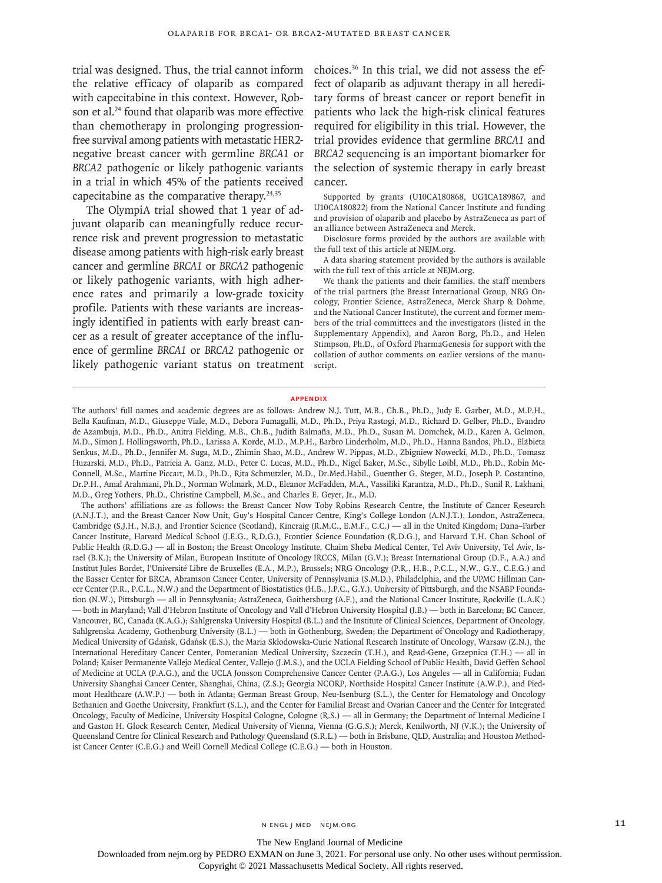trial was designed. Thus, the trial cannot inform the relative efficacy of olaparib as compared with capecitabine in this context. However, Robson et al.<sup>24</sup> found that olaparib was more effective than chemotherapy in prolonging progressionfree survival among patients with metastatic HER2 negative breast cancer with germline *BRCA1* or *BRCA2* pathogenic or likely pathogenic variants in a trial in which 45% of the patients received capecitabine as the comparative therapy. $24,35$ 

The OlympiA trial showed that 1 year of adjuvant olaparib can meaningfully reduce recurrence risk and prevent progression to metastatic disease among patients with high-risk early breast cancer and germline *BRCA1* or *BRCA2* pathogenic or likely pathogenic variants, with high adherence rates and primarily a low-grade toxicity profile. Patients with these variants are increasingly identified in patients with early breast cancer as a result of greater acceptance of the influence of germline *BRCA1* or *BRCA2* pathogenic or likely pathogenic variant status on treatment choices.36 In this trial, we did not assess the effect of olaparib as adjuvant therapy in all hereditary forms of breast cancer or report benefit in patients who lack the high-risk clinical features required for eligibility in this trial. However, the trial provides evidence that germline *BRCA1* and *BRCA2* sequencing is an important biomarker for the selection of systemic therapy in early breast cancer.

Supported by grants (U10CA180868, UG1CA189867, and U10CA180822) from the National Cancer Institute and funding and provision of olaparib and placebo by AstraZeneca as part of an alliance between AstraZeneca and Merck.

Disclosure forms provided by the authors are available with the full text of this article at NEJM.org.

A data sharing statement provided by the authors is available with the full text of this article at NEJM.org.

We thank the patients and their families, the staff members of the trial partners (the Breast International Group, NRG Oncology, Frontier Science, AstraZeneca, Merck Sharp & Dohme, and the National Cancer Institute), the current and former members of the trial committees and the investigators (listed in the Supplementary Appendix), and Aaron Borg, Ph.D., and Helen Stimpson, Ph.D., of Oxford PharmaGenesis for support with the collation of author comments on earlier versions of the manuscript.

#### **Appendix**

The authors' full names and academic degrees are as follows: Andrew N.J. Tutt, M.B., Ch.B., Ph.D., Judy E. Garber, M.D., M.P.H., Bella Kaufman, M.D., Giuseppe Viale, M.D., Debora Fumagalli, M.D., Ph.D., Priya Rastogi, M.D., Richard D. Gelber, Ph.D., Evandro de Azambuja, M.D., Ph.D., Anitra Fielding, M.B., Ch.B., Judith Balmaña, M.D., Ph.D., Susan M. Domchek, M.D., Karen A. Gelmon, M.D., Simon J. Hollingsworth, Ph.D., Larissa A. Korde, M.D., M.P.H., Barbro Linderholm, M.D., Ph.D., Hanna Bandos, Ph.D., Elżbieta Senkus, M.D., Ph.D., Jennifer M. Suga, M.D., Zhimin Shao, M.D., Andrew W. Pippas, M.D., Zbigniew Nowecki, M.D., Ph.D., Tomasz Huzarski, M.D., Ph.D., Patricia A. Ganz, M.D., Peter C. Lucas, M.D., Ph.D., Nigel Baker, M.Sc., Sibylle Loibl, M.D., Ph.D., Robin Mc-Connell, M.Sc., Martine Piccart, M.D., Ph.D., Rita Schmutzler, M.D., Dr.Med.Habil., Guenther G. Steger, M.D., Joseph P. Costantino, Dr.P.H., Amal Arahmani, Ph.D., Norman Wolmark, M.D., Eleanor McFadden, M.A., Vassiliki Karantza, M.D., Ph.D., Sunil R. Lakhani, M.D., Greg Yothers, Ph.D., Christine Campbell, M.Sc., and Charles E. Geyer, Jr., M.D.

The authors' affiliations are as follows: the Breast Cancer Now Toby Robins Research Centre, the Institute of Cancer Research (A.N.J.T.), and the Breast Cancer Now Unit, Guy's Hospital Cancer Centre, King's College London (A.N.J.T.), London, AstraZeneca, Cambridge (S.J.H., N.B.), and Frontier Science (Scotland), Kincraig (R.M.C., E.M.F., C.C.) — all in the United Kingdom; Dana–Farber Cancer Institute, Harvard Medical School (J.E.G., R.D.G.), Frontier Science Foundation (R.D.G.), and Harvard T.H. Chan School of Public Health (R.D.G.) — all in Boston; the Breast Oncology Institute, Chaim Sheba Medical Center, Tel Aviv University, Tel Aviv, Israel (B.K.); the University of Milan, European Institute of Oncology IRCCS, Milan (G.V.); Breast International Group (D.F., A.A.) and Institut Jules Bordet, l'Université Libre de Bruxelles (E.A., M.P.), Brussels; NRG Oncology (P.R., H.B., P.C.L., N.W., G.Y., C.E.G.) and the Basser Center for BRCA, Abramson Cancer Center, University of Pennsylvania (S.M.D.), Philadelphia, and the UPMC Hillman Cancer Center (P.R., P.C.L., N.W.) and the Department of Biostatistics (H.B., J.P.C., G.Y.), University of Pittsburgh, and the NSABP Foundation (N.W.), Pittsburgh — all in Pennsylvania; AstraZeneca, Gaithersburg (A.F.), and the National Cancer Institute, Rockville (L.A.K.) — both in Maryland; Vall d'Hebron Institute of Oncology and Vall d'Hebron University Hospital (J.B.) — both in Barcelona; BC Cancer, Vancouver, BC, Canada (K.A.G.); Sahlgrenska University Hospital (B.L.) and the Institute of Clinical Sciences, Department of Oncology, Sahlgrenska Academy, Gothenburg University (B.L.) — both in Gothenburg, Sweden; the Department of Oncology and Radiotherapy, Medical University of Gdańsk, Gdańsk (E.S.), the Maria Skłodowska-Curie National Research Institute of Oncology, Warsaw (Z.N.), the International Hereditary Cancer Center, Pomeranian Medical University, Szczecin (T.H.), and Read-Gene, Grzepnica (T.H.) — all in Poland; Kaiser Permanente Vallejo Medical Center, Vallejo (J.M.S.), and the UCLA Fielding School of Public Health, David Geffen School of Medicine at UCLA (P.A.G.), and the UCLA Jonsson Comprehensive Cancer Center (P.A.G.), Los Angeles — all in California; Fudan University Shanghai Cancer Center, Shanghai, China, (Z.S.); Georgia NCORP, Northside Hospital Cancer Institute (A.W.P.), and Piedmont Healthcare (A.W.P.) — both in Atlanta; German Breast Group, Neu-Isenburg (S.L.), the Center for Hematology and Oncology Bethanien and Goethe University, Frankfurt (S.L.), and the Center for Familial Breast and Ovarian Cancer and the Center for Integrated Oncology, Faculty of Medicine, University Hospital Cologne, Cologne (R.S.) — all in Germany; the Department of Internal Medicine I and Gaston H. Glock Research Center, Medical University of Vienna, Vienna (G.G.S.); Merck, Kenilworth, NJ (V.K.); the University of Queensland Centre for Clinical Research and Pathology Queensland (S.R.L.) — both in Brisbane, QLD, Australia; and Houston Methodist Cancer Center (C.E.G.) and Weill Cornell Medical College (C.E.G.) — both in Houston.

n engl j med nejm.org 11

The New England Journal of Medicine

Downloaded from nejm.org by PEDRO EXMAN on June 3, 2021. For personal use only. No other uses without permission.